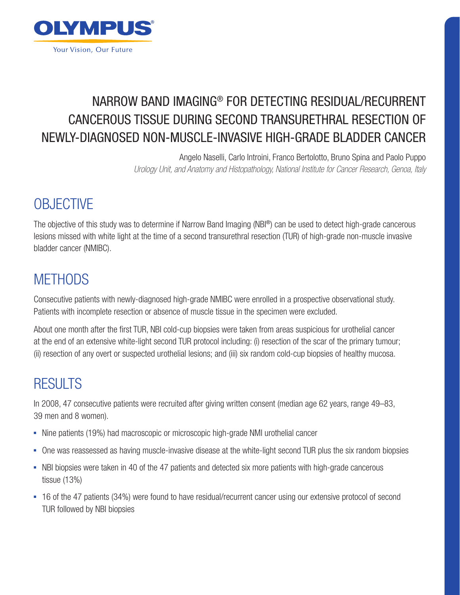

## NARROW BAND IMAGING® FOR DETECTING RESIDUAL/RECURRENT CANCEROUS TISSUE DURING SECOND TRANSURETHRAL RESECTION OF NEWLY-DIAGNOSED NON-MUSCLE-INVASIVE HIGH-GRADE BLADDER CANCER

Angelo Naselli, Carlo Introini, Franco Bertolotto, Bruno Spina and Paolo Puppo *Urology Unit, and Anatomy and Histopathology, National Institute for Cancer Research, Genoa, Italy*

# **OBJECTIVE**

The objective of this study was to determine if Narrow Band Imaging (NBI®) can be used to detect high-grade cancerous lesions missed with white light at the time of a second transurethral resection (TUR) of high-grade non-muscle invasive bladder cancer (NMIBC).

### **METHODS**

Consecutive patients with newly-diagnosed high-grade NMIBC were enrolled in a prospective observational study. Patients with incomplete resection or absence of muscle tissue in the specimen were excluded.

About one month after the first TUR, NBI cold-cup biopsies were taken from areas suspicious for urothelial cancer at the end of an extensive white-light second TUR protocol including: (i) resection of the scar of the primary tumour; (ii) resection of any overt or suspected urothelial lesions; and (iii) six random cold-cup biopsies of healthy mucosa.

## **RESULTS**

In 2008, 47 consecutive patients were recruited after giving written consent (median age 62 years, range 49–83, 39 men and 8 women).

- Nine patients (19%) had macroscopic or microscopic high-grade NMI urothelial cancer
- One was reassessed as having muscle-invasive disease at the white-light second TUR plus the six random biopsies
- NBI biopsies were taken in 40 of the 47 patients and detected six more patients with high-grade cancerous tissue (13%)
- 16 of the 47 patients (34%) were found to have residual/recurrent cancer using our extensive protocol of second TUR followed by NBI biopsies